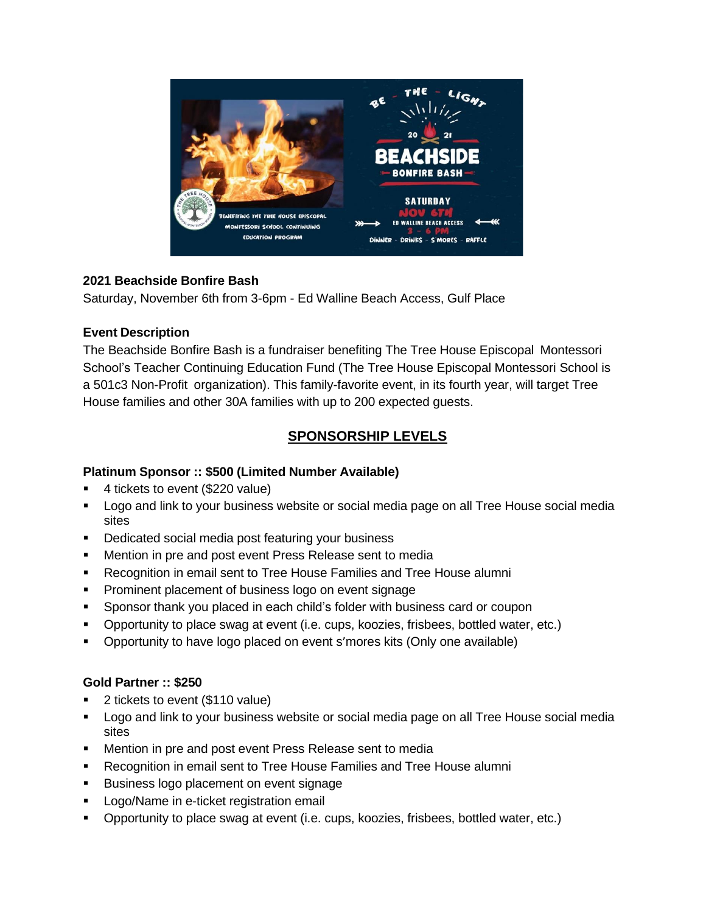

### **2021 Beachside Bonfire Bash**

Saturday, November 6th from 3-6pm - Ed Walline Beach Access, Gulf Place

### **Event Description**

The Beachside Bonfire Bash is a fundraiser benefiting The Tree House Episcopal Montessori School's Teacher Continuing Education Fund (The Tree House Episcopal Montessori School is a 501c3 Non-Profit organization). This family-favorite event, in its fourth year, will target Tree House families and other 30A families with up to 200 expected guests.

# **SPONSORSHIP LEVELS**

## **Platinum Sponsor :: \$500 (Limited Number Available)**

- 4 tickets to event (\$220 value)
- Logo and link to your business website or social media page on all Tree House social media sites
- Dedicated social media post featuring your business
- Mention in pre and post event Press Release sent to media
- Recognition in email sent to Tree House Families and Tree House alumni
- **Prominent placement of business logo on event signage**
- Sponsor thank you placed in each child's folder with business card or coupon
- Opportunity to place swag at event (i.e. cups, koozies, frisbees, bottled water, etc.)
- Opportunity to have logo placed on event s'mores kits (Only one available)

### **Gold Partner :: \$250**

- 2 tickets to event (\$110 value)
- Logo and link to your business website or social media page on all Tree House social media sites
- Mention in pre and post event Press Release sent to media
- Recognition in email sent to Tree House Families and Tree House alumni
- Business logo placement on event signage
- Logo/Name in e-ticket registration email
- **•** Opportunity to place swag at event (i.e. cups, koozies, frisbees, bottled water, etc.)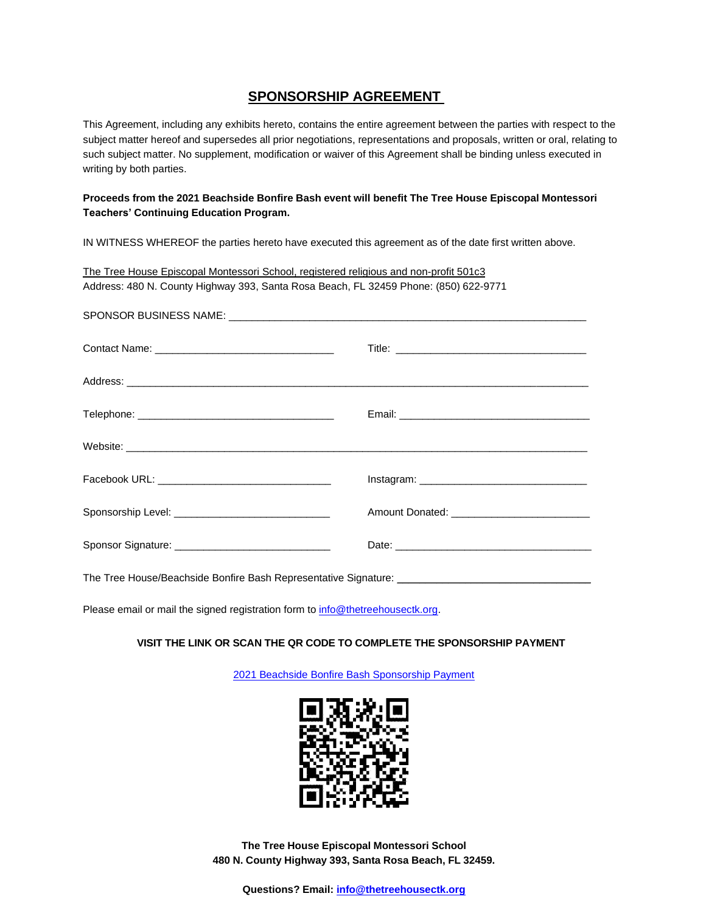#### **SPONSORSHIP AGREEMENT**

This Agreement, including any exhibits hereto, contains the entire agreement between the parties with respect to the subject matter hereof and supersedes all prior negotiations, representations and proposals, written or oral, relating to such subject matter. No supplement, modification or waiver of this Agreement shall be binding unless executed in writing by both parties.

#### **Proceeds from the 2021 Beachside Bonfire Bash event will benefit The Tree House Episcopal Montessori Teachers' Continuing Education Program.**

IN WITNESS WHEREOF the parties hereto have executed this agreement as of the date first written above.

| The Tree House Episcopal Montessori School, registered religious and non-profit 501c3 |  |
|---------------------------------------------------------------------------------------|--|
| Address: 480 N. County Highway 393, Santa Rosa Beach, FL 32459 Phone: (850) 622-9771  |  |
|                                                                                       |  |
|                                                                                       |  |
|                                                                                       |  |
|                                                                                       |  |
|                                                                                       |  |
|                                                                                       |  |
|                                                                                       |  |
|                                                                                       |  |
|                                                                                       |  |

Please email or mail the signed registration form to [info@thetreehousectk.org.](mailto:info@thetreehousectk.org)

#### **VISIT THE LINK OR SCAN THE QR CODE TO COMPLETE THE SPONSORSHIP PAYMENT**

[2021 Beachside Bonfire Bash Sponsorship Payment](https://www.paypal.com/donate?hosted_button_id=ZC55EBFBUKS6E)



**The Tree House Episcopal Montessori School 480 N. County Highway 393, Santa Rosa Beach, FL 32459.**

**Questions? Email: [info@thetreehousectk.org](mailto:info@thetreehousectk.org)**